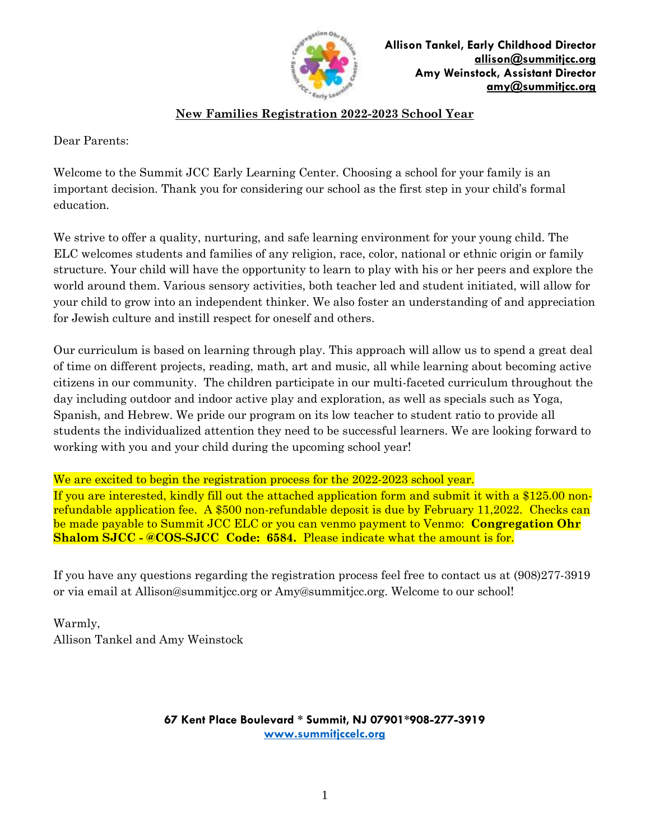

# **New Families Registration 2022-2023 School Year**

Dear Parents:

Welcome to the Summit JCC Early Learning Center. Choosing a school for your family is an important decision. Thank you for considering our school as the first step in your child's formal education.

We strive to offer a quality, nurturing, and safe learning environment for your young child. The ELC welcomes students and families of any religion, race, color, national or ethnic origin or family structure. Your child will have the opportunity to learn to play with his or her peers and explore the world around them. Various sensory activities, both teacher led and student initiated, will allow for your child to grow into an independent thinker. We also foster an understanding of and appreciation for Jewish culture and instill respect for oneself and others.

Our curriculum is based on learning through play. This approach will allow us to spend a great deal of time on different projects, reading, math, art and music, all while learning about becoming active citizens in our community. The children participate in our multi-faceted curriculum throughout the day including outdoor and indoor active play and exploration, as well as specials such as Yoga, Spanish, and Hebrew. We pride our program on its low teacher to student ratio to provide all students the individualized attention they need to be successful learners. We are looking forward to working with you and your child during the upcoming school year!

We are excited to begin the registration process for the 2022-2023 school year. If you are interested, kindly fill out the attached application form and submit it with a \$125.00 nonrefundable application fee. A \$500 non-refundable deposit is due by February 11,2022. Checks can be made payable to Summit JCC ELC or you can venmo payment to Venmo: **Congregation Ohr Shalom SJCC - @COS-SJCC Code: 6584.** Please indicate what the amount is for.

If you have any questions regarding the registration process feel free to contact us at (908)277-3919 or via email at [Allison@summitjcc.org](mailto:Allison@summitjcc.org) or Amy@summitjcc.org. Welcome to our school!

Warmly, Allison Tankel and Amy Weinstock

> **67 Kent Place Boulevard \* Summit, NJ 07901\*908-277-3919 [www.summitjccelc.org](http://www.summitjccelc.org/)**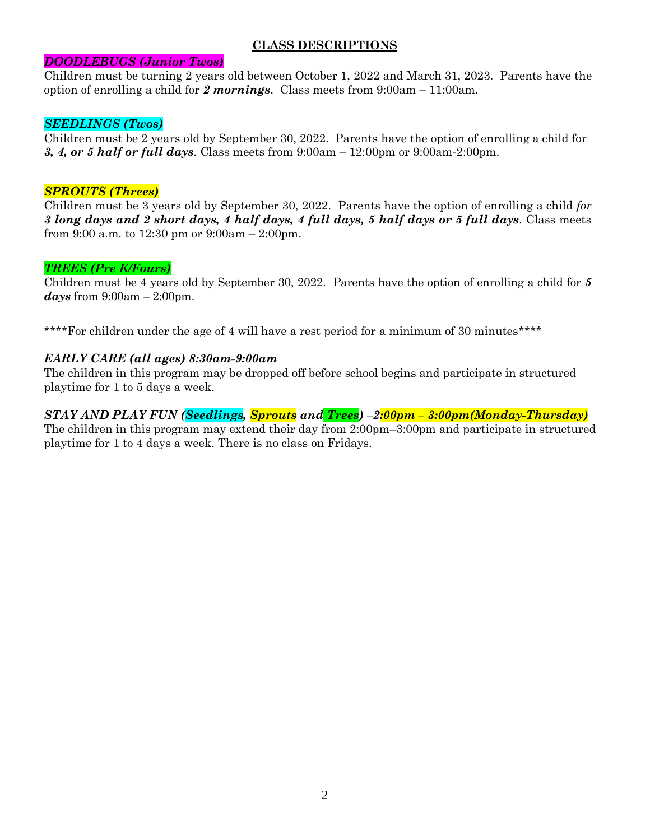# **CLASS DESCRIPTIONS**

## *DOODLEBUGS (Junior Twos)*

Children must be turning 2 years old between October 1, 2022 and March 31, 2023. Parents have the option of enrolling a child for *2 mornings*. Class meets from 9:00am – 11:00am.

## *SEEDLINGS (Twos)*

Children must be 2 years old by September 30, 2022. Parents have the option of enrolling a child for *3, 4, or 5 half or full days*. Class meets from 9:00am – 12:00pm or 9:00am-2:00pm.

## *SPROUTS (Threes)*

Children must be 3 years old by September 30, 2022. Parents have the option of enrolling a child *for 3 long days and 2 short days, 4 half days, 4 full days, 5 half days or 5 full days*. Class meets from 9:00 a.m. to 12:30 pm or 9:00am – 2:00pm.

# *TREES (Pre K/Fours)*

Children must be 4 years old by September 30, 2022. Parents have the option of enrolling a child for *5 days* from 9:00am – 2:00pm.

\*\*\*\*For children under the age of 4 will have a rest period for a minimum of 30 minutes\*\*\*\*

## *EARLY CARE (all ages) 8:30am-9:00am*

The children in this program may be dropped off before school begins and participate in structured playtime for 1 to 5 days a week.

# *STAY AND PLAY FUN (Seedlings, Sprouts and Trees) –2:00pm – 3:00pm(Monday-Thursday)*

The children in this program may extend their day from 2:00pm–3:00pm and participate in structured playtime for 1 to 4 days a week. There is no class on Fridays.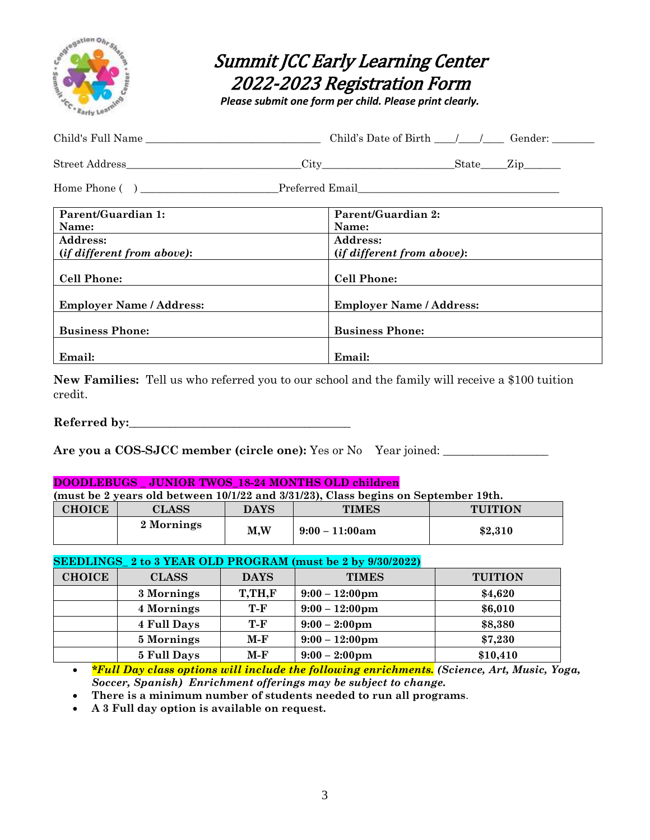

# Summit JCC Early Learning Center 2022-2023 Registration Form

*Please submit one form per child. Please print clearly.*

| Child's Full Name                 |                                   |
|-----------------------------------|-----------------------------------|
|                                   |                                   |
|                                   |                                   |
| Parent/Guardian 1:                | Parent/Guardian 2:                |
| Name:                             | Name:                             |
| <b>Address:</b>                   | Address:                          |
| <i>(if different from above):</i> | <i>(if different from above):</i> |
| <b>Cell Phone:</b>                | <b>Cell Phone:</b>                |
| <b>Employer Name / Address:</b>   | <b>Employer Name / Address:</b>   |
| <b>Business Phone:</b>            | <b>Business Phone:</b>            |
| Email:                            | Email:                            |

**New Families:** Tell us who referred you to our school and the family will receive a \$100 tuition credit.

Referred by:

Are you a COS-SJCC member (circle one): Yes or No Year joined: \_\_\_\_\_\_\_\_\_\_\_\_\_\_\_\_\_\_

#### **DOODLEBUGS \_ JUNIOR TWOS\_18-24 MONTHS OLD children**

| (must be 2 years old between 10/1/22 and 3/31/23), Class begins on September 19th. |            |     |                   |         |
|------------------------------------------------------------------------------------|------------|-----|-------------------|---------|
| <b>CHOICE</b><br><b>DAYS</b><br><b>TIMES</b><br><b>TUITION</b><br><b>CLASS</b>     |            |     |                   |         |
|                                                                                    | 2 Mornings | M,W | $9:00 - 11:00$ am | \$2,310 |

#### **SEEDLINGS\_ 2 to 3 YEAR OLD PROGRAM (must be 2 by 9/30/2022)**

| <b>CHOICE</b> | <b>CLASS</b>       | <b>DAYS</b> | <b>TIMES</b>             | <b>TUITION</b> |
|---------------|--------------------|-------------|--------------------------|----------------|
|               | 3 Mornings         | T,TH,F      | $9:00 - 12:00 \text{pm}$ | \$4,620        |
|               | 4 Mornings         | T-F         | $9:00 - 12:00 \text{pm}$ | \$6,010        |
|               | <b>4 Full Days</b> | T-F         | $9:00 - 2:00 \text{pm}$  | \$8,380        |
|               | 5 Mornings         | M-F         | $9:00 - 12:00 \text{pm}$ | \$7,230        |
|               | 5 Full Days        | $M-F$       | $9:00 - 2:00 \text{pm}$  | \$10,410       |

 *\*Full Day class options will include the following enrichments. (Science, Art, Music, Yoga, Soccer, Spanish) Enrichment offerings may be subject to change.*

**There is a minimum number of students needed to run all programs**.

**A 3 Full day option is available on request.**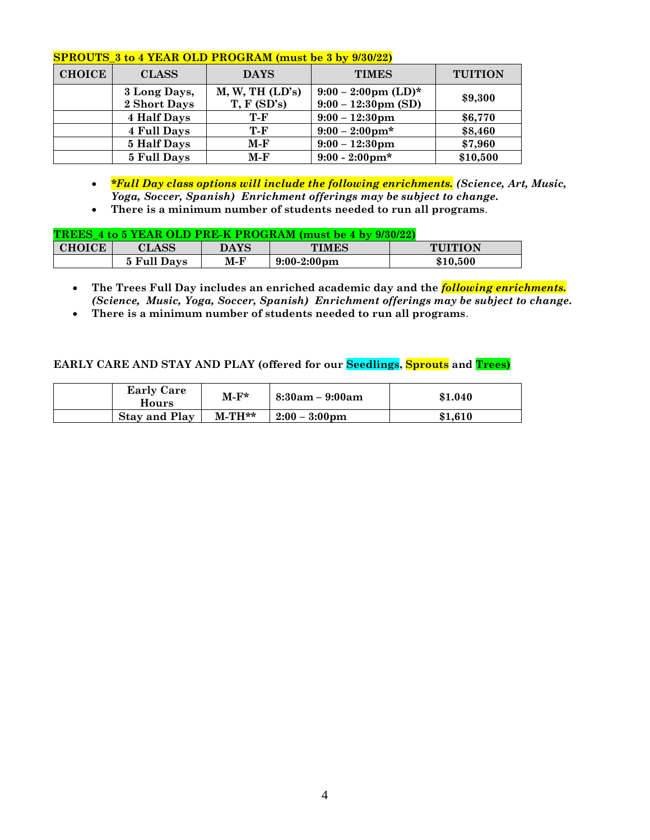|  |  | SPROUTS_3 to 4 YEAR OLD PROGRAM (must be 3 by 9/30/22) |  |
|--|--|--------------------------------------------------------|--|
|--|--|--------------------------------------------------------|--|

| <b>CHOICE</b> | <b>CLASS</b>                 | <b>DAYS</b>                   | <b>TIMES</b>                                                   | <b>TUITION</b> |
|---------------|------------------------------|-------------------------------|----------------------------------------------------------------|----------------|
|               | 3 Long Days,<br>2 Short Days | M, W, TH (LD's)<br>T, F(SD's) | $9:00 - 2:00 \text{pm (LD)*}$<br>$9:00 - 12:30 \text{pm (SD)}$ | \$9,300        |
|               | 4 Half Days                  | T-F                           | $9:00 - 12:30 \text{pm}$                                       | \$6,770        |
|               | <b>4 Full Days</b>           | T-F                           | $9:00 - 2:00 \text{pm*}$                                       | \$8,460        |
|               | 5 Half Days                  | $M-F$                         | $9:00 - 12:30 \text{pm}$                                       | \$7,960        |
|               | 5 Full Days                  | M-F                           | $9:00 - 2:00 \text{pm*}$                                       | \$10,500       |

- *\*Full Day class options will include the following enrichments. (Science, Art, Music, Yoga, Soccer, Spanish) Enrichment offerings may be subject to change.*
- **There is a minimum number of students needed to run all programs**.

|                                           |                      |           | <b>TREES 4 to 5 YEAR OLD PRE-K PROGRAM (must be 4 by 9/30/22)</b> |         |
|-------------------------------------------|----------------------|-----------|-------------------------------------------------------------------|---------|
| $\sim$ $\sim$ $\sim$ $\sim$ $\sim$ $\sim$ | $\sim$ $\sim$ $\sim$ | $-1 - -1$ | $-$                                                               | $- - -$ |

| CHOICE | ${\rm LASS}$            | $\mathbf{DAYS}$ | TIMES                 | JITION   |
|--------|-------------------------|-----------------|-----------------------|----------|
|        | 5 Full D<br><b>Davs</b> | M-F             | $9:00-2:00 \text{pm}$ | \$10.500 |

- **The Trees Full Day includes an enriched academic day and the** *following enrichments. (Science, Music, Yoga, Soccer, Spanish) Enrichment offerings may be subject to change.*
- **There is a minimum number of students needed to run all programs**.

# **EARLY CARE AND STAY AND PLAY (offered for our Seedlings, Sprouts and Trees)**

| <b>Early Care</b><br>Hours | $M-F^*$  | $8:30am - 9:00am$       | \$1.040 |
|----------------------------|----------|-------------------------|---------|
| <b>Stay and Play</b>       | $M-TH**$ | $2:00 - 3:00 \text{pm}$ | \$1,610 |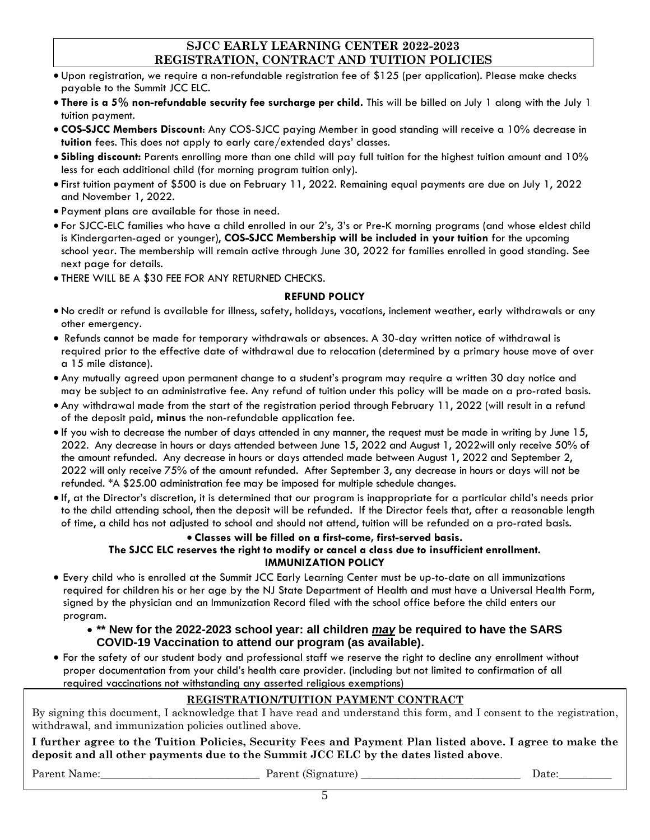# **SJCC EARLY LEARNING CENTER 2022-2023 REGISTRATION, CONTRACT AND TUITION POLICIES**

- Upon registration, we require a non-refundable registration fee of \$125 (per application). Please make checks payable to the Summit JCC ELC.
- **There is a 5% non-refundable security fee surcharge per child.** This will be billed on July 1 along with the July 1 tuition payment.
- **COS-SJCC Members Discount**: Any COS-SJCC paying Member in good standing will receive a 10% decrease in **tuition** fees. This does not apply to early care/extended days' classes.
- **Sibling discount:** Parents enrolling more than one child will pay full tuition for the highest tuition amount and 10% less for each additional child (for morning program tuition only).
- First tuition payment of \$500 is due on February 11, 2022. Remaining equal payments are due on July 1, 2022 and November 1, 2022.
- Payment plans are available for those in need.
- For SJCC-ELC families who have a child enrolled in our 2's, 3's or Pre-K morning programs (and whose eldest child is Kindergarten-aged or younger), **COS-SJCC Membership will be included in your tuition** for the upcoming school year. The membership will remain active through June 30, 2022 for families enrolled in good standing. See next page for details.
- THERE WILL BE A \$30 FEE FOR ANY RETURNED CHECKS.

### **REFUND POLICY**

- No credit or refund is available for illness, safety, holidays, vacations, inclement weather, early withdrawals or any other emergency.
- Refunds cannot be made for temporary withdrawals or absences. A 30-day written notice of withdrawal is required prior to the effective date of withdrawal due to relocation (determined by a primary house move of over a 15 mile distance).
- Any mutually agreed upon permanent change to a student's program may require a written 30 day notice and may be subject to an administrative fee. Any refund of tuition under this policy will be made on a pro-rated basis.
- Any withdrawal made from the start of the registration period through February 11, 2022 (will result in a refund of the deposit paid, **minus** the non-refundable application fee.
- If you wish to decrease the number of days attended in any manner, the request must be made in writing by June 15, 2022. Any decrease in hours or days attended between June 15, 2022 and August 1, 2022will only receive 50% of the amount refunded. Any decrease in hours or days attended made between August 1, 2022 and September 2, 2022 will only receive 75% of the amount refunded. After September 3, any decrease in hours or days will not be refunded. \*A \$25.00 administration fee may be imposed for multiple schedule changes.
- If, at the Director's discretion, it is determined that our program is inappropriate for a particular child's needs prior to the child attending school, then the deposit will be refunded. If the Director feels that, after a reasonable length of time, a child has not adjusted to school and should not attend, tuition will be refunded on a pro-rated basis.

# **Classes will be filled on a first-come, first-served basis.**

#### **The SJCC ELC reserves the right to modify or cancel a class due to insufficient enrollment. IMMUNIZATION POLICY**

 Every child who is enrolled at the Summit JCC Early Learning Center must be up-to-date on all immunizations required for children his or her age by the NJ State Department of Health and must have a Universal Health Form, signed by the physician and an Immunization Record filed with the school office before the child enters our program.

## **\*\* New for the 2022-2023 school year: all children** *may* **be required to have the SARS COVID-19 Vaccination to attend our program (as available).**

 For the safety of our student body and professional staff we reserve the right to decline any enrollment without proper documentation from your child's health care provider. (including but not limited to confirmation of all required vaccinations not withstanding any asserted religious exemptions)

# **REGISTRATION/TUITION PAYMENT CONTRACT**

By signing this document, I acknowledge that I have read and understand this form, and I consent to the registration, withdrawal, and immunization policies outlined above.

**I further agree to the Tuition Policies, Security Fees and Payment Plan listed above. I agree to make the deposit and all other payments due to the Summit JCC ELC by the dates listed above**.

Parent Name:\_\_\_\_\_\_\_\_\_\_\_\_\_\_\_\_\_\_\_\_\_\_\_\_\_\_\_\_\_\_ Parent (Signature) \_\_\_\_\_\_\_\_\_\_\_\_\_\_\_\_\_\_\_\_\_\_\_\_\_\_\_\_\_\_ Date:\_\_\_\_\_\_\_\_\_\_